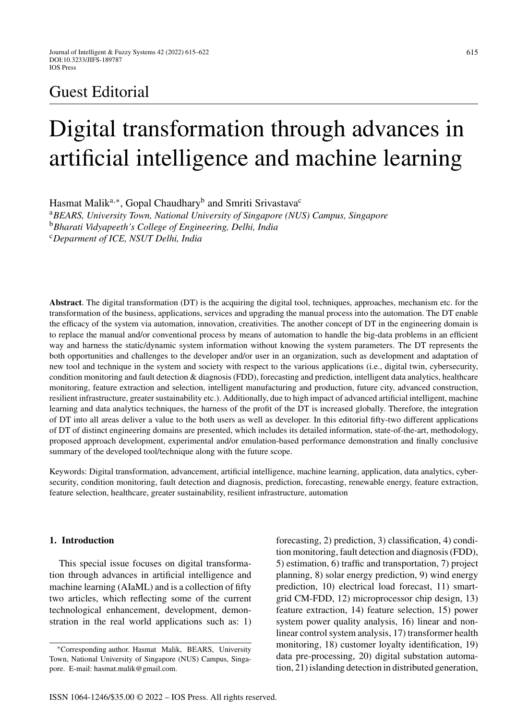## Guest Editorial

# Digital transformation through advances in artificial intelligence and machine learning

Hasmat Malik<sup>a,∗</sup>, Gopal Chaudhary<sup>b</sup> and Smriti Srivastava<sup>c</sup>

<sup>a</sup>*BEARS, University Town, National University of Singapore (NUS) Campus, Singapore* <sup>b</sup>*Bharati Vidyapeeth's College of Engineering, Delhi, India* <sup>c</sup>*Deparment of ICE, NSUT Delhi, India*

**Abstract**. The digital transformation (DT) is the acquiring the digital tool, techniques, approaches, mechanism etc. for the transformation of the business, applications, services and upgrading the manual process into the automation. The DT enable the efficacy of the system via automation, innovation, creativities. The another concept of DT in the engineering domain is to replace the manual and/or conventional process by means of automation to handle the big-data problems in an efficient way and harness the static/dynamic system information without knowing the system parameters. The DT represents the both opportunities and challenges to the developer and/or user in an organization, such as development and adaptation of new tool and technique in the system and society with respect to the various applications (i.e., digital twin, cybersecurity, condition monitoring and fault detection & diagnosis (FDD), forecasting and prediction, intelligent data analytics, healthcare monitoring, feature extraction and selection, intelligent manufacturing and production, future city, advanced construction, resilient infrastructure, greater sustainability etc.). Additionally, due to high impact of advanced artificial intelligent, machine learning and data analytics techniques, the harness of the profit of the DT is increased globally. Therefore, the integration of DT into all areas deliver a value to the both users as well as developer. In this editorial fifty-two different applications of DT of distinct engineering domains are presented, which includes its detailed information, state-of-the-art, methodology, proposed approach development, experimental and/or emulation-based performance demonstration and finally conclusive summary of the developed tool/technique along with the future scope.

Keywords: Digital transformation, advancement, artificial intelligence, machine learning, application, data analytics, cybersecurity, condition monitoring, fault detection and diagnosis, prediction, forecasting, renewable energy, feature extraction, feature selection, healthcare, greater sustainability, resilient infrastructure, automation

### **1. Introduction**

This special issue focuses on digital transformation through advances in artificial intelligence and machine learning (AIaML) and is a collection of fifty two articles, which reflecting some of the current technological enhancement, development, demonstration in the real world applications such as: 1) forecasting, 2) prediction, 3) classification, 4) condition monitoring, fault detection and diagnosis (FDD), 5) estimation, 6) traffic and transportation, 7) project planning, 8) solar energy prediction, 9) wind energy prediction, 10) electrical load forecast, 11) smartgrid CM-FDD, 12) microprocessor chip design, 13) feature extraction, 14) feature selection, 15) power system power quality analysis, 16) linear and nonlinear control system analysis, 17) transformer health monitoring, 18) customer loyalty identification, 19) data pre-processing, 20) digital substation automation, 21) islanding detection in distributed generation,

<sup>∗</sup>Corresponding author. Hasmat Malik, BEARS, University Town, National University of Singapore (NUS) Campus, Singapore. E-mail: [hasmat.malik@gmail.com.](mailto:hasmat.malik@gmail.com)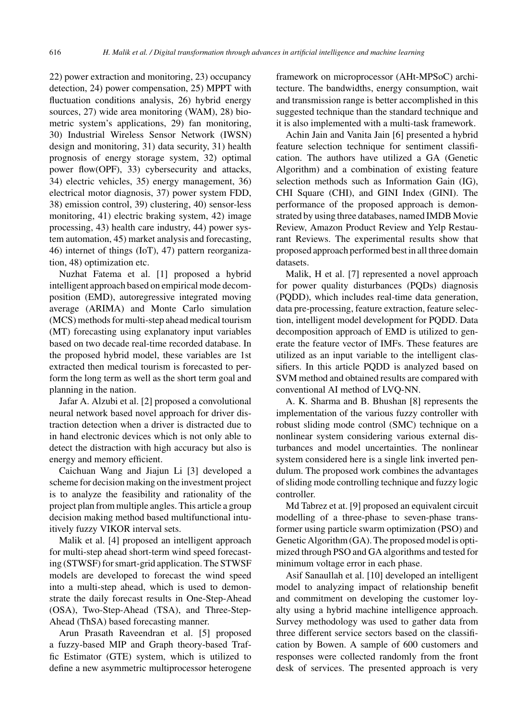22) power extraction and monitoring, 23) occupancy detection, 24) power compensation, 25) MPPT with fluctuation conditions analysis, 26) hybrid energy sources, 27) wide area monitoring (WAM), 28) biometric system's applications, 29) fan monitoring, 30) Industrial Wireless Sensor Network (IWSN) design and monitoring, 31) data security, 31) health prognosis of energy storage system, 32) optimal power flow(OPF), 33) cybersecurity and attacks, 34) electric vehicles, 35) energy management, 36) electrical motor diagnosis, 37) power system FDD, 38) emission control, 39) clustering, 40) sensor-less monitoring, 41) electric braking system, 42) image processing, 43) health care industry, 44) power system automation, 45) market analysis and forecasting, 46) internet of things (IoT), 47) pattern reorganization, 48) optimization etc.

Nuzhat Fatema et al. [1] proposed a hybrid intelligent approach based on empirical mode decomposition (EMD), autoregressive integrated moving average (ARIMA) and Monte Carlo simulation (MCS) methods for multi-step ahead medical tourism (MT) forecasting using explanatory input variables based on two decade real-time recorded database. In the proposed hybrid model, these variables are 1st extracted then medical tourism is forecasted to perform the long term as well as the short term goal and planning in the nation.

Jafar A. Alzubi et al. [2] proposed a convolutional neural network based novel approach for driver distraction detection when a driver is distracted due to in hand electronic devices which is not only able to detect the distraction with high accuracy but also is energy and memory efficient.

Caichuan Wang and Jiajun Li [3] developed a scheme for decision making on the investment project is to analyze the feasibility and rationality of the project plan from multiple angles. This article a group decision making method based multifunctional intuitively fuzzy VIKOR interval sets.

Malik et al. [4] proposed an intelligent approach for multi-step ahead short-term wind speed forecasting (STWSF) for smart-grid application. The STWSF models are developed to forecast the wind speed into a multi-step ahead, which is used to demonstrate the daily forecast results in One-Step-Ahead (OSA), Two-Step-Ahead (TSA), and Three-Step-Ahead (ThSA) based forecasting manner.

Arun Prasath Raveendran et al. [5] proposed a fuzzy-based MIP and Graph theory-based Traffic Estimator (GTE) system, which is utilized to define a new asymmetric multiprocessor heterogene

framework on microprocessor (AHt-MPSoC) architecture. The bandwidths, energy consumption, wait and transmission range is better accomplished in this suggested technique than the standard technique and it is also implemented with a multi-task framework.

Achin Jain and Vanita Jain [6] presented a hybrid feature selection technique for sentiment classification. The authors have utilized a GA (Genetic Algorithm) and a combination of existing feature selection methods such as Information Gain (IG), CHI Square (CHI), and GINI Index (GINI). The performance of the proposed approach is demonstrated by using three databases, named IMDB Movie Review, Amazon Product Review and Yelp Restaurant Reviews. The experimental results show that proposed approach performed best in all three domain datasets.

Malik, H et al. [7] represented a novel approach for power quality disturbances (PQDs) diagnosis (PQDD), which includes real-time data generation, data pre-processing, feature extraction, feature selection, intelligent model development for PQDD. Data decomposition approach of EMD is utilized to generate the feature vector of IMFs. These features are utilized as an input variable to the intelligent classifiers. In this article PQDD is analyzed based on SVM method and obtained results are compared with conventional AI method of LVQ-NN.

A. K. Sharma and B. Bhushan [8] represents the implementation of the various fuzzy controller with robust sliding mode control (SMC) technique on a nonlinear system considering various external disturbances and model uncertainties. The nonlinear system considered here is a single link inverted pendulum. The proposed work combines the advantages of sliding mode controlling technique and fuzzy logic controller.

Md Tabrez et at. [9] proposed an equivalent circuit modelling of a three-phase to seven-phase transformer using particle swarm optimization (PSO) and Genetic Algorithm (GA). The proposed model is optimized through PSO and GA algorithms and tested for minimum voltage error in each phase.

Asif Sanaullah et al. [10] developed an intelligent model to analyzing impact of relationship benefit and commitment on developing the customer loyalty using a hybrid machine intelligence approach. Survey methodology was used to gather data from three different service sectors based on the classification by Bowen. A sample of 600 customers and responses were collected randomly from the front desk of services. The presented approach is very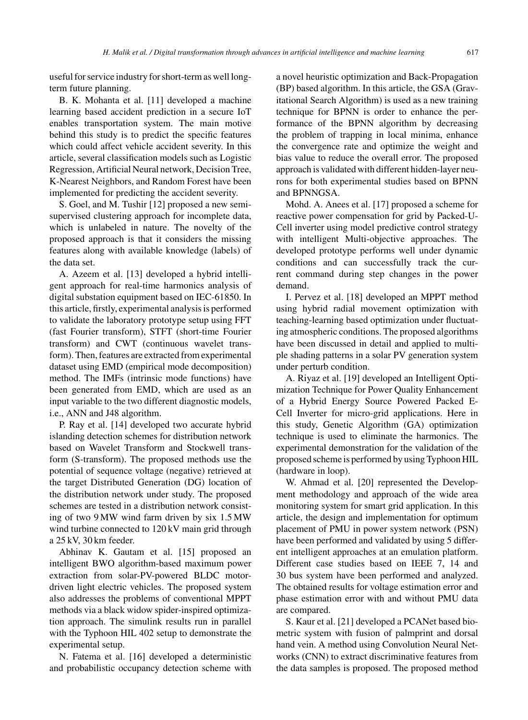useful for service industry for short-term as well longterm future planning.

B. K. Mohanta et al. [11] developed a machine learning based accident prediction in a secure IoT enables transportation system. The main motive behind this study is to predict the specific features which could affect vehicle accident severity. In this article, several classification models such as Logistic Regression, Artificial Neural network, Decision Tree, K-Nearest Neighbors, and Random Forest have been implemented for predicting the accident severity.

S. Goel, and M. Tushir [12] proposed a new semisupervised clustering approach for incomplete data, which is unlabeled in nature. The novelty of the proposed approach is that it considers the missing features along with available knowledge (labels) of the data set.

A. Azeem et al. [13] developed a hybrid intelligent approach for real-time harmonics analysis of digital substation equipment based on IEC-61850. In this article, firstly, experimental analysis is performed to validate the laboratory prototype setup using FFT (fast Fourier transform), STFT (short-time Fourier transform) and CWT (continuous wavelet transform). Then, features are extracted from experimental dataset using EMD (empirical mode decomposition) method. The IMFs (intrinsic mode functions) have been generated from EMD, which are used as an input variable to the two different diagnostic models, i.e., ANN and J48 algorithm.

P. Ray et al. [14] developed two accurate hybrid islanding detection schemes for distribution network based on Wavelet Transform and Stockwell transform (S-transform). The proposed methods use the potential of sequence voltage (negative) retrieved at the target Distributed Generation (DG) location of the distribution network under study. The proposed schemes are tested in a distribution network consisting of two 9 MW wind farm driven by six 1.5 MW wind turbine connected to 120 kV main grid through a 25 kV, 30 km feeder.

Abhinav K. Gautam et al. [15] proposed an intelligent BWO algorithm-based maximum power extraction from solar-PV-powered BLDC motordriven light electric vehicles. The proposed system also addresses the problems of conventional MPPT methods via a black widow spider-inspired optimization approach. The simulink results run in parallel with the Typhoon HIL 402 setup to demonstrate the experimental setup.

N. Fatema et al. [16] developed a deterministic and probabilistic occupancy detection scheme with a novel heuristic optimization and Back-Propagation (BP) based algorithm. In this article, the GSA (Gravitational Search Algorithm) is used as a new training technique for BPNN is order to enhance the performance of the BPNN algorithm by decreasing the problem of trapping in local minima, enhance the convergence rate and optimize the weight and bias value to reduce the overall error. The proposed approach is validated with different hidden-layer neurons for both experimental studies based on BPNN and BPNNGSA.

Mohd. A. Anees et al. [17] proposed a scheme for reactive power compensation for grid by Packed-U-Cell inverter using model predictive control strategy with intelligent Multi-objective approaches. The developed prototype performs well under dynamic conditions and can successfully track the current command during step changes in the power demand.

I. Pervez et al. [18] developed an MPPT method using hybrid radial movement optimization with teaching-learning based optimization under fluctuating atmospheric conditions. The proposed algorithms have been discussed in detail and applied to multiple shading patterns in a solar PV generation system under perturb condition.

A. Riyaz et al. [19] developed an Intelligent Optimization Technique for Power Quality Enhancement of a Hybrid Energy Source Powered Packed E-Cell Inverter for micro-grid applications. Here in this study, Genetic Algorithm (GA) optimization technique is used to eliminate the harmonics. The experimental demonstration for the validation of the proposed scheme is performed by using Typhoon HIL (hardware in loop).

W. Ahmad et al. [20] represented the Development methodology and approach of the wide area monitoring system for smart grid application. In this article, the design and implementation for optimum placement of PMU in power system network (PSN) have been performed and validated by using 5 different intelligent approaches at an emulation platform. Different case studies based on IEEE 7, 14 and 30 bus system have been performed and analyzed. The obtained results for voltage estimation error and phase estimation error with and without PMU data are compared.

S. Kaur et al. [21] developed a PCANet based biometric system with fusion of palmprint and dorsal hand vein. A method using Convolution Neural Networks (CNN) to extract discriminative features from the data samples is proposed. The proposed method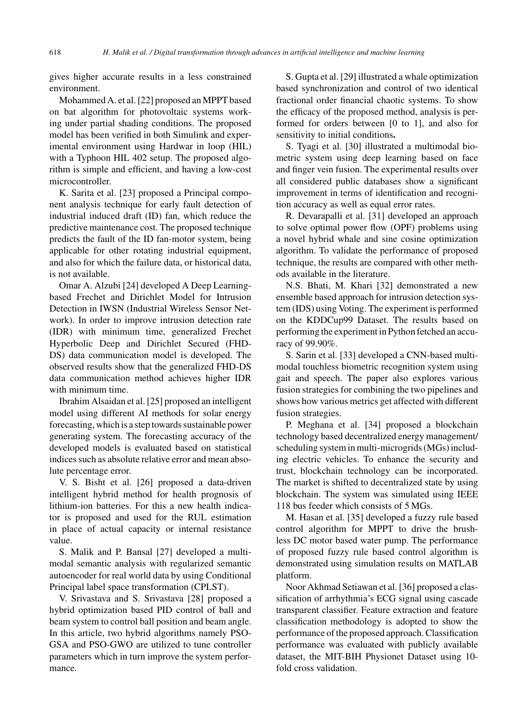gives higher accurate results in a less constrained environment.

Mohammed A. et al. [22] proposed an MPPT based on bat algorithm for photovoltaic systems working under partial shading conditions. The proposed model has been verified in both Simulink and experimental environment using Hardwar in loop (HIL) with a Typhoon HIL 402 setup. The proposed algorithm is simple and efficient, and having a low-cost microcontroller.

K. Sarita et al. [23] proposed a Principal component analysis technique for early fault detection of industrial induced draft (ID) fan, which reduce the predictive maintenance cost. The proposed technique predicts the fault of the ID fan-motor system, being applicable for other rotating industrial equipment, and also for which the failure data, or historical data, is not available.

Omar A. Alzubi [24] developed A Deep Learningbased Frechet and Dirichlet Model for Intrusion Detection in IWSN (Industrial Wireless Sensor Network). In order to improve intrusion detection rate (IDR) with minimum time, generalized Frechet Hyperbolic Deep and Dirichlet Secured (FHD-DS) data communication model is developed. The observed results show that the generalized FHD-DS data communication method achieves higher IDR with minimum time.

Ibrahim Alsaidan et al. [25] proposed an intelligent model using different AI methods for solar energy forecasting, which is a step towards sustainable power generating system. The forecasting accuracy of the developed models is evaluated based on statistical indices such as absolute relative error and mean absolute percentage error.

V. S. Bisht et al. [26] proposed a data-driven intelligent hybrid method for health prognosis of lithium-ion batteries. For this a new health indicator is proposed and used for the RUL estimation in place of actual capacity or internal resistance value.

S. Malik and P. Bansal [27] developed a multimodal semantic analysis with regularized semantic autoencoder for real world data by using Conditional Principal label space transformation (CPLST).

V. Srivastava and S. Srivastava [28] proposed a hybrid optimization based PID control of ball and beam system to control ball position and beam angle. In this article, two hybrid algorithms namely PSO-GSA and PSO-GWO are utilized to tune controller parameters which in turn improve the system performance.

S. Gupta et al. [29] illustrated a whale optimization based synchronization and control of two identical fractional order financial chaotic systems. To show the efficacy of the proposed method, analysis is performed for orders between [0 to 1], and also for sensitivity to initial conditions**.**

S. Tyagi et al. [30] illustrated a multimodal biometric system using deep learning based on face and finger vein fusion. The experimental results over all considered public databases show a significant improvement in terms of identification and recognition accuracy as well as equal error rates.

R. Devarapalli et al. [31] developed an approach to solve optimal power flow (OPF) problems using a novel hybrid whale and sine cosine optimization algorithm. To validate the performance of proposed technique, the results are compared with other methods available in the literature.

N.S. Bhati, M. Khari [32] demonstrated a new ensemble based approach for intrusion detection system (IDS) using Voting. The experiment is performed on the KDDCup99 Dataset. The results based on performing the experiment in Python fetched an accuracy of 99.90%.

S. Sarin et al. [33] developed a CNN-based multimodal touchless biometric recognition system using gait and speech. The paper also explores various fusion strategies for combining the two pipelines and shows how various metrics get affected with different fusion strategies.

P. Meghana et al. [34] proposed a blockchain technology based decentralized energy management/ scheduling system in multi-microgrids (MGs) including electric vehicles. To enhance the security and trust, blockchain technology can be incorporated. The market is shifted to decentralized state by using blockchain. The system was simulated using IEEE 118 bus feeder which consists of 5 MGs.

M. Hasan et al. [35] developed a fuzzy rule based control algorithm for MPPT to drive the brushless DC motor based water pump. The performance of proposed fuzzy rule based control algorithm is demonstrated using simulation results on MATLAB platform.

Noor Akhmad Setiawan et al. [36] proposed a classification of arrhythmia's ECG signal using cascade transparent classifier. Feature extraction and feature classification methodology is adopted to show the performance of the proposed approach. Classification performance was evaluated with publicly available dataset, the MIT-BIH Physionet Dataset using 10 fold cross validation.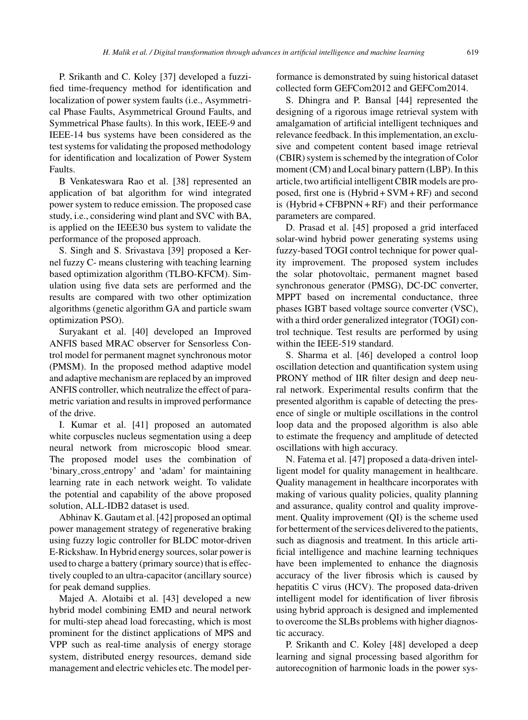P. Srikanth and C. Koley [37] developed a fuzzified time-frequency method for identification and localization of power system faults (i.e., Asymmetrical Phase Faults, Asymmetrical Ground Faults, and Symmetrical Phase faults). In this work, IEEE-9 and IEEE-14 bus systems have been considered as the test systems for validating the proposed methodology for identification and localization of Power System Faults.

B Venkateswara Rao et al. [38] represented an application of bat algorithm for wind integrated power system to reduce emission. The proposed case study, i.e., considering wind plant and SVC with BA, is applied on the IEEE30 bus system to validate the performance of the proposed approach.

S. Singh and S. Srivastava [39] proposed a Kernel fuzzy C- means clustering with teaching learning based optimization algorithm (TLBO-KFCM). Simulation using five data sets are performed and the results are compared with two other optimization algorithms (genetic algorithm GA and particle swam optimization PSO).

Suryakant et al. [40] developed an Improved ANFIS based MRAC observer for Sensorless Control model for permanent magnet synchronous motor (PMSM). In the proposed method adaptive model and adaptive mechanism are replaced by an improved ANFIS controller, which neutralize the effect of parametric variation and results in improved performance of the drive.

I. Kumar et al. [41] proposed an automated white corpuscles nucleus segmentation using a deep neural network from microscopic blood smear. The proposed model uses the combination of 'binary cross entropy' and 'adam' for maintaining learning rate in each network weight. To validate the potential and capability of the above proposed solution, ALL-IDB2 dataset is used.

Abhinav K. Gautam et al. [42] proposed an optimal power management strategy of regenerative braking using fuzzy logic controller for BLDC motor-driven E-Rickshaw. In Hybrid energy sources, solar power is used to charge a battery (primary source) that is effectively coupled to an ultra-capacitor (ancillary source) for peak demand supplies.

Majed A. Alotaibi et al. [43] developed a new hybrid model combining EMD and neural network for multi-step ahead load forecasting, which is most prominent for the distinct applications of MPS and VPP such as real-time analysis of energy storage system, distributed energy resources, demand side management and electric vehicles etc. The model performance is demonstrated by suing historical dataset collected form GEFCom2012 and GEFCom2014.

S. Dhingra and P. Bansal [44] represented the designing of a rigorous image retrieval system with amalgamation of artificial intelligent techniques and relevance feedback. In this implementation, an exclusive and competent content based image retrieval (CBIR) system is schemed by the integration of Color moment (CM) and Local binary pattern (LBP). In this article, two artificial intelligent CBIR models are proposed, first one is (Hybrid + SVM + RF) and second is (Hybrid + CFBPNN + RF) and their performance parameters are compared.

D. Prasad et al. [45] proposed a grid interfaced solar-wind hybrid power generating systems using fuzzy-based TOGI control technique for power quality improvement. The proposed system includes the solar photovoltaic, permanent magnet based synchronous generator (PMSG), DC-DC converter, MPPT based on incremental conductance, three phases IGBT based voltage source converter (VSC), with a third order generalized integrator (TOGI) control technique. Test results are performed by using within the IEEE-519 standard.

S. Sharma et al. [46] developed a control loop oscillation detection and quantification system using PRONY method of IIR filter design and deep neural network. Experimental results confirm that the presented algorithm is capable of detecting the presence of single or multiple oscillations in the control loop data and the proposed algorithm is also able to estimate the frequency and amplitude of detected oscillations with high accuracy.

N. Fatema et al. [47] proposed a data-driven intelligent model for quality management in healthcare. Quality management in healthcare incorporates with making of various quality policies, quality planning and assurance, quality control and quality improvement. Quality improvement (QI) is the scheme used for betterment of the services delivered to the patients, such as diagnosis and treatment. In this article artificial intelligence and machine learning techniques have been implemented to enhance the diagnosis accuracy of the liver fibrosis which is caused by hepatitis C virus (HCV). The proposed data-driven intelligent model for identification of liver fibrosis using hybrid approach is designed and implemented to overcome the SLBs problems with higher diagnostic accuracy.

P. Srikanth and C. Koley [48] developed a deep learning and signal processing based algorithm for autorecognition of harmonic loads in the power sys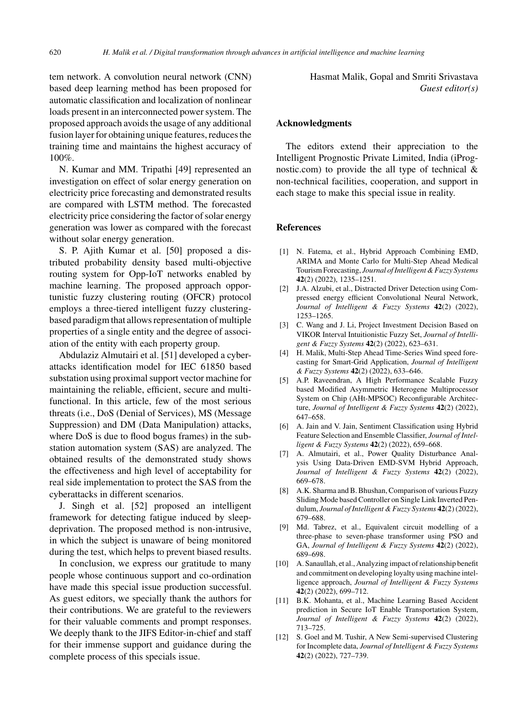tem network. A convolution neural network (CNN) based deep learning method has been proposed for automatic classification and localization of nonlinear loads present in an interconnected power system. The proposed approach avoids the usage of any additional fusion layer for obtaining unique features, reduces the training time and maintains the highest accuracy of 100%.

N. Kumar and MM. Tripathi [49] represented an investigation on effect of solar energy generation on electricity price forecasting and demonstrated results are compared with LSTM method. The forecasted electricity price considering the factor of solar energy generation was lower as compared with the forecast without solar energy generation.

S. P. Ajith Kumar et al. [50] proposed a distributed probability density based multi-objective routing system for Opp-IoT networks enabled by machine learning. The proposed approach opportunistic fuzzy clustering routing (OFCR) protocol employs a three-tiered intelligent fuzzy clusteringbased paradigm that allows representation of multiple properties of a single entity and the degree of association of the entity with each property group.

Abdulaziz Almutairi et al. [51] developed a cyberattacks identification model for IEC 61850 based substation using proximal support vector machine for maintaining the reliable, efficient, secure and multifunctional. In this article, few of the most serious threats (i.e., DoS (Denial of Services), MS (Message Suppression) and DM (Data Manipulation) attacks, where DoS is due to flood bogus frames) in the substation automation system (SAS) are analyzed. The obtained results of the demonstrated study shows the effectiveness and high level of acceptability for real side implementation to protect the SAS from the cyberattacks in different scenarios.

J. Singh et al. [52] proposed an intelligent framework for detecting fatigue induced by sleepdeprivation. The proposed method is non-intrusive, in which the subject is unaware of being monitored during the test, which helps to prevent biased results.

In conclusion, we express our gratitude to many people whose continuous support and co-ordination have made this special issue production successful. As guest editors, we specially thank the authors for their contributions. We are grateful to the reviewers for their valuable comments and prompt responses. We deeply thank to the JIFS Editor-in-chief and staff for their immense support and guidance during the complete process of this specials issue.

Hasmat Malik, Gopal and Smriti Srivastava *Guest editor(s)*

### **Acknowledgments**

The editors extend their appreciation to the Intelligent Prognostic Private Limited, India (iPrognostic.com) to provide the all type of technical  $\&$ non-technical facilities, cooperation, and support in each stage to make this special issue in reality.

#### **References**

- [1] N. Fatema, et al., Hybrid Approach Combining EMD, ARIMA and Monte Carlo for Multi-Step Ahead Medical Tourism Forecasting, *Journal of Intelligent & Fuzzy Systems* **42**(2) (2022), 1235–1251.
- [2] J.A. Alzubi, et al., Distracted Driver Detection using Compressed energy efficient Convolutional Neural Network, *Journal of Intelligent & Fuzzy Systems* **42**(2) (2022), 1253–1265.
- [3] C. Wang and J. Li, Project Investment Decision Based on VIKOR Interval Intuitionistic Fuzzy Set, *Journal of Intelligent & Fuzzy Systems* **42**(2) (2022), 623–631.
- [4] H. Malik, Multi-Step Ahead Time-Series Wind speed forecasting for Smart-Grid Application, *Journal of Intelligent & Fuzzy Systems* **42**(2) (2022), 633–646.
- [5] A.P. Raveendran, A High Performance Scalable Fuzzy based Modified Asymmetric Heterogene Multiprocessor System on Chip (AHt-MPSOC) Reconfigurable Architecture, *Journal of Intelligent & Fuzzy Systems* **42**(2) (2022), 647–658.
- [6] A. Jain and V. Jain, Sentiment Classification using Hybrid Feature Selection and Ensemble Classifier, *Journal of Intelligent & Fuzzy Systems* **42**(2) (2022), 659–668.
- [7] A. Almutairi, et al., Power Quality Disturbance Analysis Using Data-Driven EMD-SVM Hybrid Approach, *Journal of Intelligent & Fuzzy Systems* **42**(2) (2022), 669–678.
- [8] A.K. Sharma and B. Bhushan, Comparison of various Fuzzy Sliding Mode based Controller on Single Link Inverted Pendulum, *Journal of Intelligent & Fuzzy Systems* **42**(2) (2022), 679–688.
- [9] Md. Tabrez, et al., Equivalent circuit modelling of a three-phase to seven-phase transformer using PSO and GA, *Journal of Intelligent & Fuzzy Systems* **42**(2) (2022), 689–698.
- [10] A. Sanaullah, et al., Analyzing impact of relationship benefit and commitment on developing loyalty using machine intelligence approach, *Journal of Intelligent & Fuzzy Systems* **42**(2) (2022), 699–712.
- [11] B.K. Mohanta, et al., Machine Learning Based Accident prediction in Secure IoT Enable Transportation System, *Journal of Intelligent & Fuzzy Systems* **42**(2) (2022), 713–725.
- [12] S. Goel and M. Tushir, A New Semi-supervised Clustering for Incomplete data, *Journal of Intelligent & Fuzzy Systems* **42**(2) (2022), 727–739.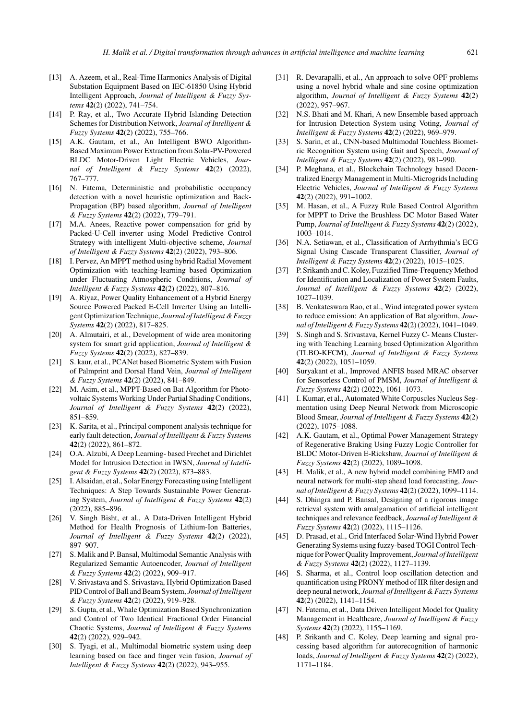- [13] A. Azeem, et al., Real-Time Harmonics Analysis of Digital Substation Equipment Based on IEC-61850 Using Hybrid Intelligent Approach, *Journal of Intelligent & Fuzzy Systems* **42**(2) (2022), 741–754.
- [14] P. Ray, et al., Two Accurate Hybrid Islanding Detection Schemes for Distribution Network, *Journal of Intelligent & Fuzzy Systems* **42**(2) (2022), 755–766.
- [15] A.K. Gautam, et al., An Intelligent BWO Algorithm-Based Maximum Power Extraction from Solar-PV-Powered BLDC Motor-Driven Light Electric Vehicles, *Journal of Intelligent & Fuzzy Systems* **42**(2) (2022), 767–777.
- [16] N. Fatema, Deterministic and probabilistic occupancy detection with a novel heuristic optimization and Back-Propagation (BP) based algorithm, *Journal of Intelligent & Fuzzy Systems* **42**(2) (2022), 779–791.
- [17] M.A. Anees, Reactive power compensation for grid by Packed-U-Cell inverter using Model Predictive Control Strategy with intelligent Multi-objective scheme, *Journal of Intelligent & Fuzzy Systems* **42**(2) (2022), 793–806.
- [18] I. Pervez, An MPPT method using hybrid Radial Movement Optimization with teaching-learning based Optimization under Fluctuating Atmospheric Conditions, *Journal of Intelligent & Fuzzy Systems* **42**(2) (2022), 807–816.
- [19] A. Riyaz, Power Quality Enhancement of a Hybrid Energy Source Powered Packed E-Cell Inverter Using an Intelligent Optimization Technique, *Journal of Intelligent & Fuzzy Systems* **42**(2) (2022), 817–825.
- [20] A. Almutairi, et al., Development of wide area monitoring system for smart grid application, *Journal of Intelligent & Fuzzy Systems* **42**(2) (2022), 827–839.
- [21] S. kaur, et al., PCANet based Biometric System with Fusion of Palmprint and Dorsal Hand Vein, *Journal of Intelligent & Fuzzy Systems* **42**(2) (2022), 841–849.
- [22] M. Asim, et al., MPPT-Based on Bat Algorithm for Photovoltaic Systems Working Under Partial Shading Conditions, *Journal of Intelligent & Fuzzy Systems* **42**(2) (2022), 851–859.
- [23] K. Sarita, et al., Principal component analysis technique for early fault detection, *Journal of Intelligent & Fuzzy Systems* **42**(2) (2022), 861–872.
- [24] O.A. Alzubi, A Deep Learning- based Frechet and Dirichlet Model for Intrusion Detection in IWSN, *Journal of Intelligent & Fuzzy Systems* **42**(2) (2022), 873–883.
- [25] I. Alsaidan, et al., Solar Energy Forecasting using Intelligent Techniques: A Step Towards Sustainable Power Generating System, *Journal of Intelligent & Fuzzy Systems* **42**(2) (2022), 885–896.
- [26] V. Singh Bisht, et al., A Data-Driven Intelligent Hybrid Method for Health Prognosis of Lithium-Ion Batteries, *Journal of Intelligent & Fuzzy Systems* **42**(2) (2022), 897–907.
- [27] S. Malik and P. Bansal, Multimodal Semantic Analysis with Regularized Semantic Autoencoder, *Journal of Intelligent & Fuzzy Systems* **42**(2) (2022), 909–917.
- [28] V. Srivastava and S. Srivastava, Hybrid Optimization Based PID Control of Ball and Beam System, *Journal of Intelligent & Fuzzy Systems* **42**(2) (2022), 919–928.
- [29] S. Gupta, et al., Whale Optimization Based Synchronization and Control of Two Identical Fractional Order Financial Chaotic Systems, *Journal of Intelligent & Fuzzy Systems* **42**(2) (2022), 929–942.
- [30] S. Tyagi, et al., Multimodal biometric system using deep learning based on face and finger vein fusion, *Journal of Intelligent & Fuzzy Systems* **42**(2) (2022), 943–955.
- [31] R. Devarapalli, et al., An approach to solve OPF problems using a novel hybrid whale and sine cosine optimization algorithm, *Journal of Intelligent & Fuzzy Systems* **42**(2) (2022), 957–967.
- [32] N.S. Bhati and M. Khari, A new Ensemble based approach for Intrusion Detection System using Voting, *Journal of Intelligent & Fuzzy Systems* **42**(2) (2022), 969–979.
- [33] S. Sarin, et al., CNN-based Multimodal Touchless Biometric Recognition System using Gait and Speech, *Journal of Intelligent & Fuzzy Systems* **42**(2) (2022), 981–990.
- [34] P. Meghana, et al., Blockchain Technology based Decentralized Energy Management in Multi-Microgrids Including Electric Vehicles, *Journal of Intelligent & Fuzzy Systems* **42**(2) (2022), 991–1002.
- [35] M. Hasan, et al., A Fuzzy Rule Based Control Algorithm for MPPT to Drive the Brushless DC Motor Based Water Pump, *Journal of Intelligent & Fuzzy Systems* **42**(2) (2022), 1003–1014.
- [36] N.A. Setiawan, et al., Classification of Arrhythmia's ECG Signal Using Cascade Transparent Classifier, *Journal of Intelligent & Fuzzy Systems* **42**(2) (2022), 1015–1025.
- [37] P. Srikanth and C. Koley, Fuzzified Time-Frequency Method for Identification and Localization of Power System Faults, *Journal of Intelligent & Fuzzy Systems* **42**(2) (2022), 1027–1039.
- [38] B. Venkateswara Rao, et al., Wind integrated power system to reduce emission: An application of Bat algorithm, *Journal of Intelligent & Fuzzy Systems* **42**(2) (2022), 1041–1049.
- [39] S. Singh and S. Srivastava, Kernel Fuzzy C- Means Clustering with Teaching Learning based Optimization Algorithm (TLBO-KFCM), *Journal of Intelligent & Fuzzy Systems* **42**(2) (2022), 1051–1059.
- [40] Suryakant et al., Improved ANFIS based MRAC observer for Sensorless Control of PMSM, *Journal of Intelligent & Fuzzy Systems* **42**(2) (2022), 1061–1073.
- [41] I. Kumar, et al., Automated White Corpuscles Nucleus Segmentation using Deep Neural Network from Microscopic Blood Smear, *Journal of Intelligent & Fuzzy Systems* **42**(2) (2022), 1075–1088.
- [42] A.K. Gautam, et al., Optimal Power Management Strategy of Regenerative Braking Using Fuzzy Logic Controller for BLDC Motor-Driven E-Rickshaw, *Journal of Intelligent & Fuzzy Systems* **42**(2) (2022), 1089–1098.
- [43] H. Malik, et al., A new hybrid model combining EMD and neural network for multi-step ahead load forecasting, *Journal of Intelligent & Fuzzy Systems* **42**(2) (2022), 1099–1114.
- [44] S. Dhingra and P. Bansal, Designing of a rigorous image retrieval system with amalgamation of artificial intelligent techniques and relevance feedback, *Journal of Intelligent & Fuzzy Systems* **42**(2) (2022), 1115–1126.
- [45] D. Prasad, et al., Grid Interfaced Solar-Wind Hybrid Power Generating Systems using fuzzy-based TOGI Control Technique for Power Quality Improvement, *Journal of Intelligent & Fuzzy Systems* **42**(2) (2022), 1127–1139.
- [46] S. Sharma, et al., Control loop oscillation detection and quantification using PRONY method of IIR filter design and deep neural network, *Journal of Intelligent & Fuzzy Systems* **42**(2) (2022), 1141–1154.
- [47] N. Fatema, et al., Data Driven Intelligent Model for Quality Management in Healthcare, *Journal of Intelligent & Fuzzy Systems* **42**(2) (2022), 1155–1169.
- [48] P. Srikanth and C. Koley, Deep learning and signal processing based algorithm for autorecognition of harmonic loads, *Journal of Intelligent & Fuzzy Systems* **42**(2) (2022), 1171–1184.